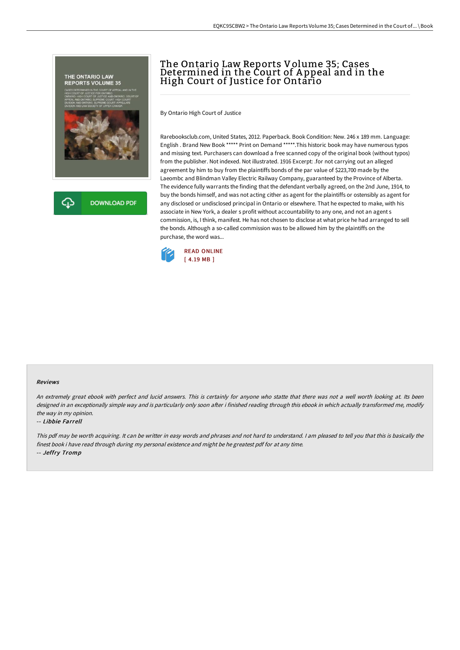

⊕ **DOWNLOAD PDF** 

# The Ontario Law Reports Volume 35; Cases Determined in the Court of A ppeal and in the High Court of Justice for Ontario

By Ontario High Court of Justice

Rarebooksclub.com, United States, 2012. Paperback. Book Condition: New. 246 x 189 mm. Language: English . Brand New Book \*\*\*\*\* Print on Demand \*\*\*\*\*.This historic book may have numerous typos and missing text. Purchasers can download a free scanned copy of the original book (without typos) from the publisher. Not indexed. Not illustrated. 1916 Excerpt: .for not carrying out an alleged agreement by him to buy from the plaintiffs bonds of the par value of \$223,700 made by the Laeombc and Blindman Valley Electric Railway Company, guaranteed by the Province of Alberta. The evidence fully warrants the finding that the defendant verbally agreed, on the 2nd June, 1914, to buy the bonds himself, and was not acting cither as agent for the plaintiffs or ostensibly as agent for any disclosed or undisclosed principal in Ontario or elsewhere. That he expected to make, with his associate in New York, a dealer s profit without accountability to any one, and not an agent s commission, is, I think, manifest. He has not chosen to disclose at what price he had arranged to sell the bonds. Although a so-called commission was to be allowed him by the plaintiffs on the purchase, the word was...



#### Reviews

An extremely great ebook with perfect and lucid answers. This is certainly for anyone who statte that there was not <sup>a</sup> well worth looking at. Its been designed in an exceptionally simple way and is particularly only soon after i finished reading through this ebook in which actually transformed me, modify the way in my opinion.

#### -- Libbie Farrell

This pdf may be worth acquiring. It can be writter in easy words and phrases and not hard to understand. <sup>I</sup> am pleased to tell you that this is basically the finest book i have read through during my personal existence and might be he greatest pdf for at any time. -- Jeffry Tromp